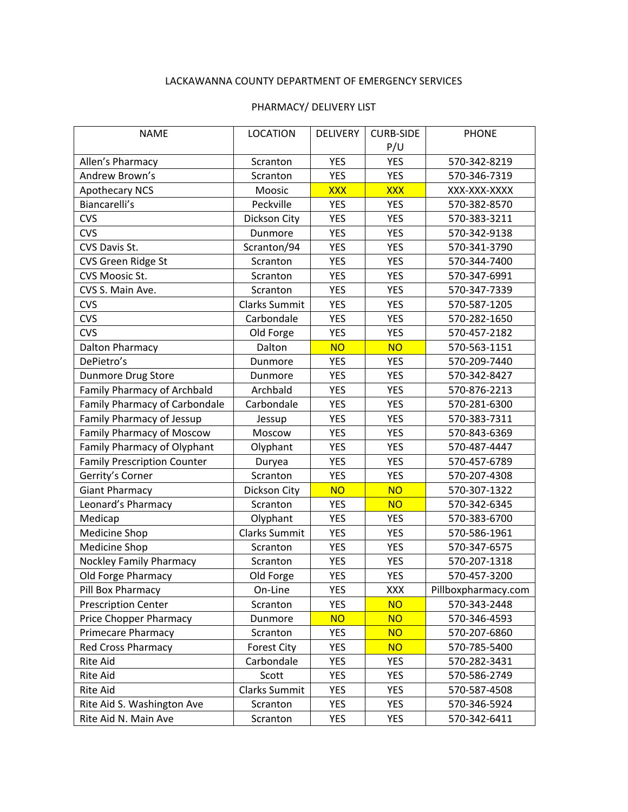## LACKAWANNA COUNTY DEPARTMENT OF EMERGENCY SERVICES

## PHARMACY/ DELIVERY LIST

| <b>NAME</b>                        | <b>LOCATION</b>      | <b>DELIVERY</b> | <b>CURB-SIDE</b> | <b>PHONE</b>        |
|------------------------------------|----------------------|-----------------|------------------|---------------------|
|                                    |                      |                 | P/U              |                     |
| Allen's Pharmacy                   | Scranton             | <b>YES</b>      | <b>YES</b>       | 570-342-8219        |
| Andrew Brown's                     | Scranton             | <b>YES</b>      | <b>YES</b>       | 570-346-7319        |
| <b>Apothecary NCS</b>              | Moosic               | <b>XXX</b>      | <b>XXX</b>       | XXX-XXX-XXXX        |
| Biancarelli's                      | Peckville            | <b>YES</b>      | <b>YES</b>       | 570-382-8570        |
| <b>CVS</b>                         | Dickson City         | <b>YES</b>      | <b>YES</b>       | 570-383-3211        |
| <b>CVS</b>                         | Dunmore              | <b>YES</b>      | <b>YES</b>       | 570-342-9138        |
| CVS Davis St.                      | Scranton/94          | <b>YES</b>      | <b>YES</b>       | 570-341-3790        |
| CVS Green Ridge St                 | Scranton             | <b>YES</b>      | <b>YES</b>       | 570-344-7400        |
| CVS Moosic St.                     | Scranton             | <b>YES</b>      | <b>YES</b>       | 570-347-6991        |
| CVS S. Main Ave.                   | Scranton             | <b>YES</b>      | <b>YES</b>       | 570-347-7339        |
| <b>CVS</b>                         | <b>Clarks Summit</b> | <b>YES</b>      | <b>YES</b>       | 570-587-1205        |
| <b>CVS</b>                         | Carbondale           | <b>YES</b>      | <b>YES</b>       | 570-282-1650        |
| <b>CVS</b>                         | Old Forge            | <b>YES</b>      | <b>YES</b>       | 570-457-2182        |
| Dalton Pharmacy                    | Dalton               | <b>NO</b>       | <b>NO</b>        | 570-563-1151        |
| DePietro's                         | Dunmore              | <b>YES</b>      | <b>YES</b>       | 570-209-7440        |
| Dunmore Drug Store                 | Dunmore              | <b>YES</b>      | <b>YES</b>       | 570-342-8427        |
| Family Pharmacy of Archbald        | Archbald             | <b>YES</b>      | <b>YES</b>       | 570-876-2213        |
| Family Pharmacy of Carbondale      | Carbondale           | <b>YES</b>      | <b>YES</b>       | 570-281-6300        |
| Family Pharmacy of Jessup          | Jessup               | <b>YES</b>      | <b>YES</b>       | 570-383-7311        |
| <b>Family Pharmacy of Moscow</b>   | Moscow               | <b>YES</b>      | <b>YES</b>       | 570-843-6369        |
| Family Pharmacy of Olyphant        | Olyphant             | <b>YES</b>      | <b>YES</b>       | 570-487-4447        |
| <b>Family Prescription Counter</b> | Duryea               | <b>YES</b>      | <b>YES</b>       | 570-457-6789        |
| Gerrity's Corner                   | Scranton             | <b>YES</b>      | <b>YES</b>       | 570-207-4308        |
| <b>Giant Pharmacy</b>              | Dickson City         | <b>NO</b>       | <b>NO</b>        | 570-307-1322        |
| Leonard's Pharmacy                 | Scranton             | <b>YES</b>      | <b>NO</b>        | 570-342-6345        |
| Medicap                            | Olyphant             | <b>YES</b>      | <b>YES</b>       | 570-383-6700        |
| Medicine Shop                      | <b>Clarks Summit</b> | <b>YES</b>      | <b>YES</b>       | 570-586-1961        |
| Medicine Shop                      | Scranton             | <b>YES</b>      | <b>YES</b>       | 570-347-6575        |
| <b>Nockley Family Pharmacy</b>     | Scranton             | <b>YES</b>      | <b>YES</b>       | 570-207-1318        |
| Old Forge Pharmacy                 | Old Forge            | <b>YES</b>      | <b>YES</b>       | 570-457-3200        |
| Pill Box Pharmacy                  | On-Line              | <b>YES</b>      | XXX              | Pillboxpharmacy.com |
| <b>Prescription Center</b>         | Scranton             | <b>YES</b>      | <b>NO</b>        | 570-343-2448        |
| Price Chopper Pharmacy             | Dunmore              | <b>NO</b>       | <b>NO</b>        | 570-346-4593        |
| Primecare Pharmacy                 | Scranton             | <b>YES</b>      | <b>NO</b>        | 570-207-6860        |
| <b>Red Cross Pharmacy</b>          | <b>Forest City</b>   | <b>YES</b>      | <b>NO</b>        | 570-785-5400        |
| Rite Aid                           | Carbondale           | <b>YES</b>      | <b>YES</b>       | 570-282-3431        |
| Rite Aid                           | Scott                | <b>YES</b>      | <b>YES</b>       | 570-586-2749        |
| Rite Aid                           | Clarks Summit        | <b>YES</b>      | <b>YES</b>       | 570-587-4508        |
| Rite Aid S. Washington Ave         | Scranton             | YES             | <b>YES</b>       | 570-346-5924        |
| Rite Aid N. Main Ave               | Scranton             | <b>YES</b>      | <b>YES</b>       | 570-342-6411        |